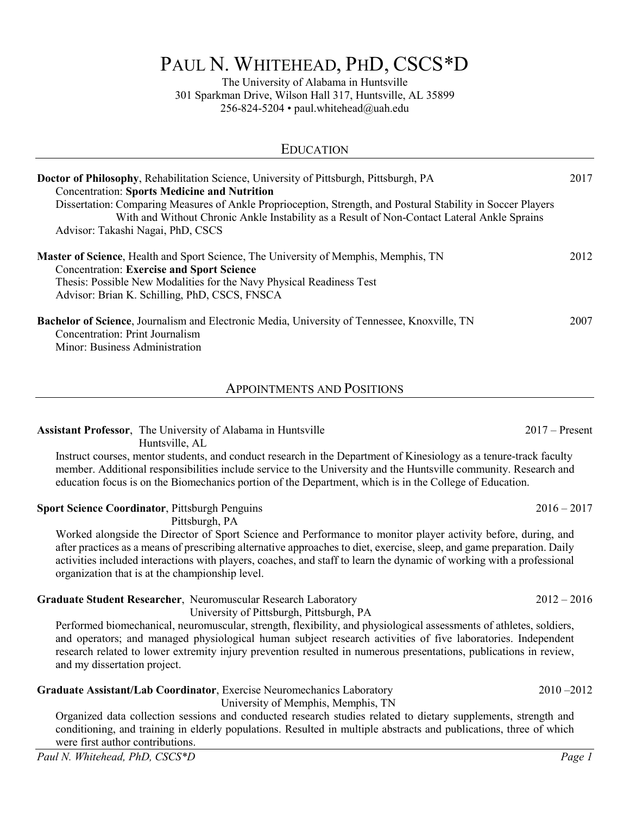# PAUL N. WHITEHEAD, PHD, CSCS\*D

The University of Alabama in Huntsville 301 Sparkman Drive, Wilson Hall 317, Huntsville, AL 35899 256-824-5204 • paul.whitehead@uah.edu

| <b>EDUCATION</b>                                                                                                                                                                                                                                                                                                                                                                                         |      |
|----------------------------------------------------------------------------------------------------------------------------------------------------------------------------------------------------------------------------------------------------------------------------------------------------------------------------------------------------------------------------------------------------------|------|
| <b>Doctor of Philosophy, Rehabilitation Science, University of Pittsburgh, Pittsburgh, PA</b><br><b>Concentration: Sports Medicine and Nutrition</b><br>Dissertation: Comparing Measures of Ankle Proprioception, Strength, and Postural Stability in Soccer Players<br>With and Without Chronic Ankle Instability as a Result of Non-Contact Lateral Ankle Sprains<br>Advisor: Takashi Nagai, PhD, CSCS | 2017 |
| <b>Master of Science</b> , Health and Sport Science, The University of Memphis, Memphis, TN<br><b>Concentration: Exercise and Sport Science</b><br>Thesis: Possible New Modalities for the Navy Physical Readiness Test<br>Advisor: Brian K. Schilling, PhD, CSCS, FNSCA                                                                                                                                 | 2012 |
| <b>Bachelor of Science, Journalism and Electronic Media, University of Tennessee, Knoxville, TN</b><br><b>Concentration: Print Journalism</b><br>Minor: Business Administration                                                                                                                                                                                                                          | 2007 |

APPOINTMENTS AND POSITIONS

**Assistant Professor**, The University of Alabama in Huntsville 2017 – 2017 – Present Huntsville, AL Instruct courses, mentor students, and conduct research in the Department of Kinesiology as a tenure-track faculty member. Additional responsibilities include service to the University and the Huntsville community. Research and education focus is on the Biomechanics portion of the Department, which is in the College of Education. **Sport Science Coordinator**, Pittsburgh Penguins 2016 – 2017 Pittsburgh, PA Worked alongside the Director of Sport Science and Performance to monitor player activity before, during, and after practices as a means of prescribing alternative approaches to diet, exercise, sleep, and game preparation. Daily activities included interactions with players, coaches, and staff to learn the dynamic of working with a professional organization that is at the championship level. **Graduate Student Researcher**, Neuromuscular Research Laboratory 2012 – 2016 University of Pittsburgh, Pittsburgh, PA Performed biomechanical, neuromuscular, strength, flexibility, and physiological assessments of athletes, soldiers,

and operators; and managed physiological human subject research activities of five laboratories. Independent research related to lower extremity injury prevention resulted in numerous presentations, publications in review, and my dissertation project.

# **Graduate Assistant/Lab Coordinator**, Exercise Neuromechanics Laboratory 2010 –2012

University of Memphis, Memphis, TN

Organized data collection sessions and conducted research studies related to dietary supplements, strength and conditioning, and training in elderly populations. Resulted in multiple abstracts and publications, three of which were first author contributions.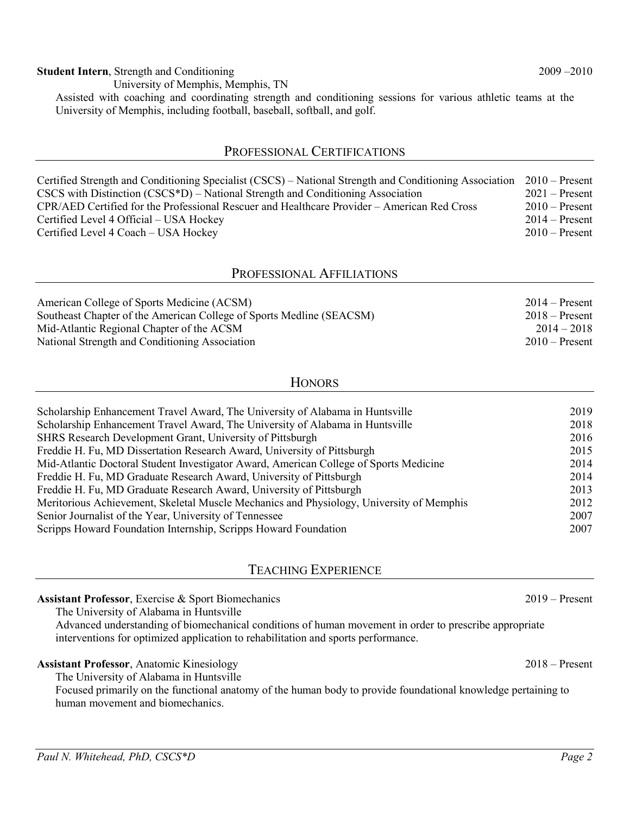#### **Student Intern**, Strength and Conditioning 2009 –2010

 University of Memphis, Memphis, TN Assisted with coaching and coordinating strength and conditioning sessions for various athletic teams at the University of Memphis, including football, baseball, softball, and golf.

## PROFESSIONAL CERTIFICATIONS

| Certified Strength and Conditioning Specialist (CSCS) – National Strength and Conditioning Association 2010 – Present |                  |
|-----------------------------------------------------------------------------------------------------------------------|------------------|
| $CSCS$ with Distinction $(CSCS*D)$ – National Strength and Conditioning Association                                   | $2021 -$ Present |
| CPR/AED Certified for the Professional Rescuer and Healthcare Provider – American Red Cross                           | $2010 -$ Present |
| Certified Level 4 Official – USA Hockey                                                                               | $2014 -$ Present |
| Certified Level 4 Coach - USA Hockey                                                                                  | $2010$ – Present |

#### PROFESSIONAL AFFILIATIONS

| American College of Sports Medicine (ACSM)                           | $2014 -$ Present |
|----------------------------------------------------------------------|------------------|
| Southeast Chapter of the American College of Sports Medline (SEACSM) | $2018 -$ Present |
| Mid-Atlantic Regional Chapter of the ACSM                            | $2014 - 2018$    |
| National Strength and Conditioning Association                       | $2010 -$ Present |

### **HONORS**

| Scholarship Enhancement Travel Award, The University of Alabama in Huntsville            | 2019 |
|------------------------------------------------------------------------------------------|------|
| Scholarship Enhancement Travel Award, The University of Alabama in Huntsville            | 2018 |
| SHRS Research Development Grant, University of Pittsburgh                                | 2016 |
| Freddie H. Fu, MD Dissertation Research Award, University of Pittsburgh                  | 2015 |
| Mid-Atlantic Doctoral Student Investigator Award, American College of Sports Medicine    | 2014 |
| Freddie H. Fu, MD Graduate Research Award, University of Pittsburgh                      | 2014 |
| Freddie H. Fu, MD Graduate Research Award, University of Pittsburgh                      | 2013 |
| Meritorious Achievement, Skeletal Muscle Mechanics and Physiology, University of Memphis | 2012 |
| Senior Journalist of the Year, University of Tennessee                                   | 2007 |
| Scripps Howard Foundation Internship, Scripps Howard Foundation                          | 2007 |
|                                                                                          |      |

# TEACHING EXPERIENCE

The University of Alabama in Huntsville

Advanced understanding of biomechanical conditions of human movement in order to prescribe appropriate interventions for optimized application to rehabilitation and sports performance.

#### **Assistant Professor**, Anatomic Kinesiology 2018 – Present

The University of Alabama in Huntsville

Focused primarily on the functional anatomy of the human body to provide foundational knowledge pertaining to human movement and biomechanics.

**Assistant Professor**, Exercise & Sport Biomechanics 2019 – Present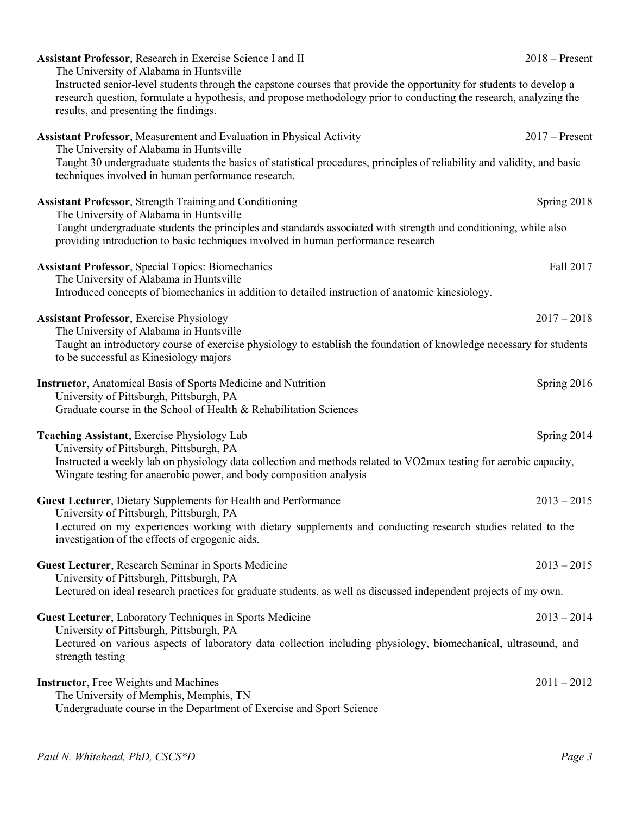| Assistant Professor, Research in Exercise Science I and II<br>The University of Alabama in Huntsville                                                                                                                                                                               | $2018 -$ Present |
|-------------------------------------------------------------------------------------------------------------------------------------------------------------------------------------------------------------------------------------------------------------------------------------|------------------|
| Instructed senior-level students through the capstone courses that provide the opportunity for students to develop a<br>research question, formulate a hypothesis, and propose methodology prior to conducting the research, analyzing the<br>results, and presenting the findings. |                  |
| Assistant Professor, Measurement and Evaluation in Physical Activity<br>The University of Alabama in Huntsville                                                                                                                                                                     | $2017$ – Present |
| Taught 30 undergraduate students the basics of statistical procedures, principles of reliability and validity, and basic<br>techniques involved in human performance research.                                                                                                      |                  |
| <b>Assistant Professor, Strength Training and Conditioning</b><br>The University of Alabama in Huntsville                                                                                                                                                                           | Spring 2018      |
| Taught undergraduate students the principles and standards associated with strength and conditioning, while also<br>providing introduction to basic techniques involved in human performance research                                                                               |                  |
| <b>Assistant Professor, Special Topics: Biomechanics</b>                                                                                                                                                                                                                            | Fall 2017        |
| The University of Alabama in Huntsville<br>Introduced concepts of biomechanics in addition to detailed instruction of anatomic kinesiology.                                                                                                                                         |                  |
| <b>Assistant Professor</b> , Exercise Physiology                                                                                                                                                                                                                                    | $2017 - 2018$    |
| The University of Alabama in Huntsville<br>Taught an introductory course of exercise physiology to establish the foundation of knowledge necessary for students<br>to be successful as Kinesiology majors                                                                           |                  |
| <b>Instructor</b> , Anatomical Basis of Sports Medicine and Nutrition                                                                                                                                                                                                               | Spring 2016      |
| University of Pittsburgh, Pittsburgh, PA<br>Graduate course in the School of Health & Rehabilitation Sciences                                                                                                                                                                       |                  |
| Teaching Assistant, Exercise Physiology Lab<br>University of Pittsburgh, Pittsburgh, PA                                                                                                                                                                                             | Spring 2014      |
| Instructed a weekly lab on physiology data collection and methods related to VO2max testing for aerobic capacity,<br>Wingate testing for anaerobic power, and body composition analysis                                                                                             |                  |
| Guest Lecturer, Dietary Supplements for Health and Performance<br>University of Pittsburgh, Pittsburgh, PA                                                                                                                                                                          | $2013 - 2015$    |
| Lectured on my experiences working with dietary supplements and conducting research studies related to the<br>investigation of the effects of ergogenic aids.                                                                                                                       |                  |
| Guest Lecturer, Research Seminar in Sports Medicine                                                                                                                                                                                                                                 | $2013 - 2015$    |
| University of Pittsburgh, Pittsburgh, PA<br>Lectured on ideal research practices for graduate students, as well as discussed independent projects of my own.                                                                                                                        |                  |
| Guest Lecturer, Laboratory Techniques in Sports Medicine<br>University of Pittsburgh, Pittsburgh, PA                                                                                                                                                                                | $2013 - 2014$    |
| Lectured on various aspects of laboratory data collection including physiology, biomechanical, ultrasound, and<br>strength testing                                                                                                                                                  |                  |
| <b>Instructor</b> , Free Weights and Machines                                                                                                                                                                                                                                       | $2011 - 2012$    |
| The University of Memphis, Memphis, TN<br>Undergraduate course in the Department of Exercise and Sport Science                                                                                                                                                                      |                  |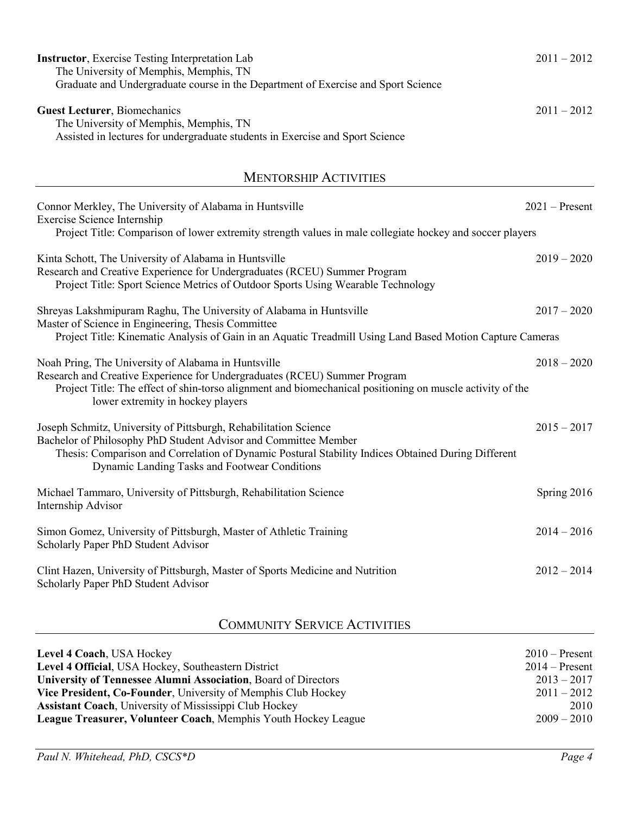| <b>Instructor</b> , Exercise Testing Interpretation Lab<br>The University of Memphis, Memphis, TN<br>Graduate and Undergraduate course in the Department of Exercise and Sport Science                                                                                                     | $2011 - 2012$    |
|--------------------------------------------------------------------------------------------------------------------------------------------------------------------------------------------------------------------------------------------------------------------------------------------|------------------|
| <b>Guest Lecturer</b> , Biomechanics<br>The University of Memphis, Memphis, TN<br>Assisted in lectures for undergraduate students in Exercise and Sport Science                                                                                                                            | $2011 - 2012$    |
| <b>MENTORSHIP ACTIVITIES</b>                                                                                                                                                                                                                                                               |                  |
| Connor Merkley, The University of Alabama in Huntsville<br>Exercise Science Internship<br>Project Title: Comparison of lower extremity strength values in male collegiate hockey and soccer players                                                                                        | $2021 -$ Present |
| Kinta Schott, The University of Alabama in Huntsville<br>Research and Creative Experience for Undergraduates (RCEU) Summer Program<br>Project Title: Sport Science Metrics of Outdoor Sports Using Wearable Technology                                                                     | $2019 - 2020$    |
| Shreyas Lakshmipuram Raghu, The University of Alabama in Huntsville<br>Master of Science in Engineering, Thesis Committee<br>Project Title: Kinematic Analysis of Gain in an Aquatic Treadmill Using Land Based Motion Capture Cameras                                                     | $2017 - 2020$    |
| Noah Pring, The University of Alabama in Huntsville<br>Research and Creative Experience for Undergraduates (RCEU) Summer Program<br>Project Title: The effect of shin-torso alignment and biomechanical positioning on muscle activity of the<br>lower extremity in hockey players         | $2018 - 2020$    |
| Joseph Schmitz, University of Pittsburgh, Rehabilitation Science<br>Bachelor of Philosophy PhD Student Advisor and Committee Member<br>Thesis: Comparison and Correlation of Dynamic Postural Stability Indices Obtained During Different<br>Dynamic Landing Tasks and Footwear Conditions | $2015 - 2017$    |
| Michael Tammaro, University of Pittsburgh, Rehabilitation Science<br>Internship Advisor                                                                                                                                                                                                    | Spring 2016      |
| Simon Gomez, University of Pittsburgh, Master of Athletic Training<br>Scholarly Paper PhD Student Advisor                                                                                                                                                                                  | $2014 - 2016$    |
| Clint Hazen, University of Pittsburgh, Master of Sports Medicine and Nutrition<br>Scholarly Paper PhD Student Advisor                                                                                                                                                                      | $2012 - 2014$    |
| $\gamma_{\odot}$ a group $\epsilon$ Contract $\Lambda$ controls                                                                                                                                                                                                                            |                  |

# COMMUNITY SERVICE ACTIVITIES

| Level 4 Coach, USA Hockey                                      | $2010$ – Present |
|----------------------------------------------------------------|------------------|
| Level 4 Official, USA Hockey, Southeastern District            | $2014 -$ Present |
| University of Tennessee Alumni Association, Board of Directors | $2013 - 2017$    |
| Vice President, Co-Founder, University of Memphis Club Hockey  | $2011 - 2012$    |
| <b>Assistant Coach</b> , University of Mississippi Club Hockey | 2010             |
| League Treasurer, Volunteer Coach, Memphis Youth Hockey League | $2009 - 2010$    |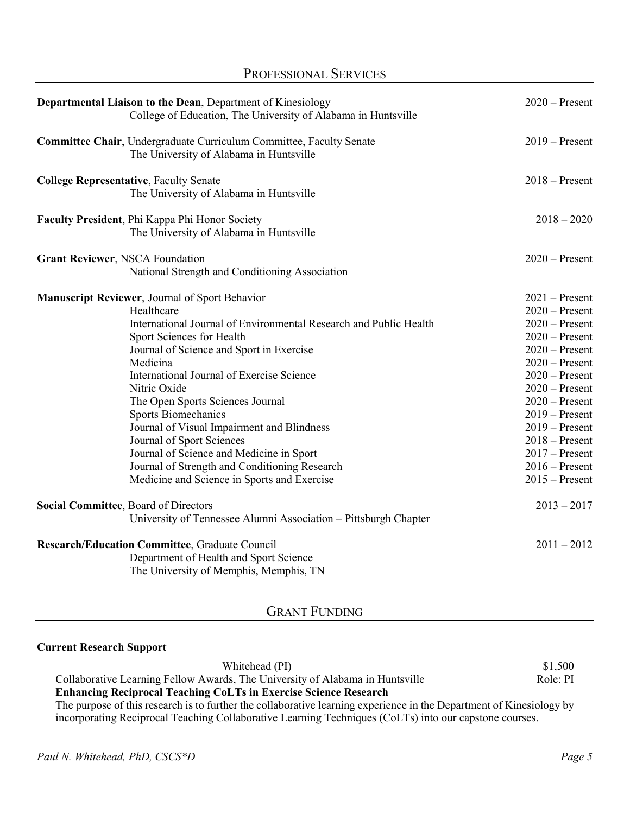| Departmental Liaison to the Dean, Department of Kinesiology<br>College of Education, The University of Alabama in Huntsville                                                                                                                                                                                                                                                                                                                                                                                                                                                 | $2020$ – Present                                                                                                                                                                                                                                                                                         |
|------------------------------------------------------------------------------------------------------------------------------------------------------------------------------------------------------------------------------------------------------------------------------------------------------------------------------------------------------------------------------------------------------------------------------------------------------------------------------------------------------------------------------------------------------------------------------|----------------------------------------------------------------------------------------------------------------------------------------------------------------------------------------------------------------------------------------------------------------------------------------------------------|
| Committee Chair, Undergraduate Curriculum Committee, Faculty Senate<br>The University of Alabama in Huntsville                                                                                                                                                                                                                                                                                                                                                                                                                                                               | $2019 -$ Present                                                                                                                                                                                                                                                                                         |
| <b>College Representative, Faculty Senate</b><br>The University of Alabama in Huntsville                                                                                                                                                                                                                                                                                                                                                                                                                                                                                     | $2018 -$ Present                                                                                                                                                                                                                                                                                         |
| Faculty President, Phi Kappa Phi Honor Society<br>The University of Alabama in Huntsville                                                                                                                                                                                                                                                                                                                                                                                                                                                                                    | $2018 - 2020$                                                                                                                                                                                                                                                                                            |
| <b>Grant Reviewer, NSCA Foundation</b><br>National Strength and Conditioning Association                                                                                                                                                                                                                                                                                                                                                                                                                                                                                     | $2020$ – Present                                                                                                                                                                                                                                                                                         |
| Manuscript Reviewer, Journal of Sport Behavior<br>Healthcare<br>International Journal of Environmental Research and Public Health<br>Sport Sciences for Health<br>Journal of Science and Sport in Exercise<br>Medicina<br>International Journal of Exercise Science<br>Nitric Oxide<br>The Open Sports Sciences Journal<br><b>Sports Biomechanics</b><br>Journal of Visual Impairment and Blindness<br>Journal of Sport Sciences<br>Journal of Science and Medicine in Sport<br>Journal of Strength and Conditioning Research<br>Medicine and Science in Sports and Exercise | $2021$ – Present<br>$2020$ – Present<br>$2020$ – Present<br>$2020$ – Present<br>$2020$ – Present<br>$2020$ – Present<br>$2020$ – Present<br>$2020$ – Present<br>$2020$ – Present<br>$2019 -$ Present<br>$2019 -$ Present<br>$2018 -$ Present<br>$2017 -$ Present<br>$2016$ – Present<br>$2015 -$ Present |
| Social Committee, Board of Directors<br>University of Tennessee Alumni Association - Pittsburgh Chapter                                                                                                                                                                                                                                                                                                                                                                                                                                                                      | $2013 - 2017$                                                                                                                                                                                                                                                                                            |
| <b>Research/Education Committee, Graduate Council</b><br>Department of Health and Sport Science<br>The University of Memphis, Memphis, TN                                                                                                                                                                                                                                                                                                                                                                                                                                    | $2011 - 2012$                                                                                                                                                                                                                                                                                            |

PROFESSIONAL SERVICES

# GRANT FUNDING

# **Current Research Support**

| Whitehead (PI)                                                                                                       | \$1,500  |
|----------------------------------------------------------------------------------------------------------------------|----------|
| Collaborative Learning Fellow Awards, The University of Alabama in Huntsville                                        | Role: PI |
| <b>Enhancing Reciprocal Teaching CoLTs in Exercise Science Research</b>                                              |          |
| The purpose of this research is to further the collaborative learning experience in the Department of Kinesiology by |          |
| incorporating Reciprocal Teaching Collaborative Learning Techniques (CoLTs) into our capstone courses.               |          |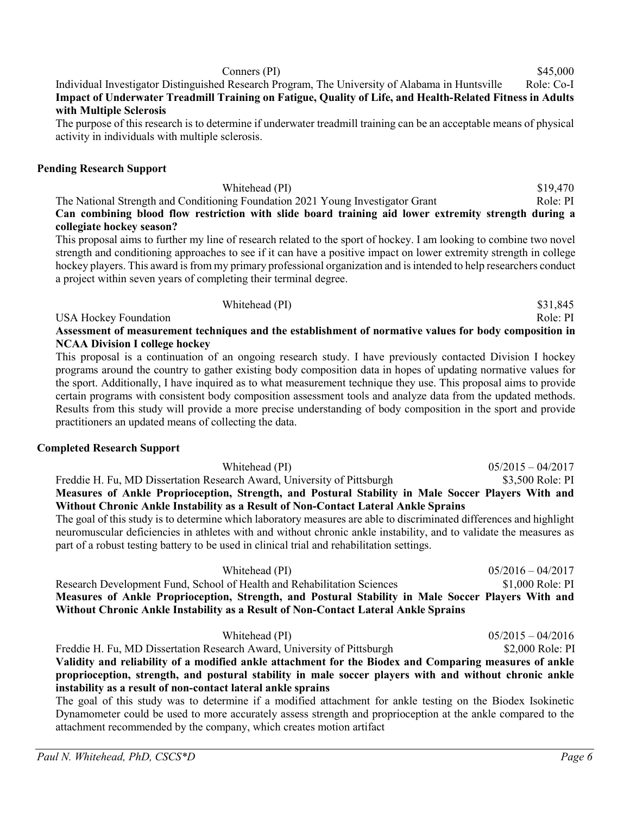#### Individual Investigator Distinguished Research Program, The University of Alabama in Huntsville Role: Co-I **Impact of Underwater Treadmill Training on Fatigue, Quality of Life, and Health-Related Fitness in Adults with Multiple Sclerosis**

The purpose of this research is to determine if underwater treadmill training can be an acceptable means of physical activity in individuals with multiple sclerosis.

### **Pending Research Support**

| Whitehead (PI)                                                                                       | \$19,470 |
|------------------------------------------------------------------------------------------------------|----------|
| The National Strength and Conditioning Foundation 2021 Young Investigator Grant                      | Role: PI |
| Can combining blood flow restriction with slide board training aid lower extremity strength during a |          |
| collegiate hockey season?                                                                            |          |

This proposal aims to further my line of research related to the sport of hockey. I am looking to combine two novel strength and conditioning approaches to see if it can have a positive impact on lower extremity strength in college hockey players. This award is from my primary professional organization and is intended to help researchers conduct a project within seven years of completing their terminal degree.

USA Hockey Foundation **Role: PI** Role: PI **Assessment of measurement techniques and the establishment of normative values for body composition in NCAA Division I college hockey**

Whitehead (PI)  $$31,845$ 

This proposal is a continuation of an ongoing research study. I have previously contacted Division I hockey programs around the country to gather existing body composition data in hopes of updating normative values for the sport. Additionally, I have inquired as to what measurement technique they use. This proposal aims to provide certain programs with consistent body composition assessment tools and analyze data from the updated methods. Results from this study will provide a more precise understanding of body composition in the sport and provide practitioners an updated means of collecting the data.

#### **Completed Research Support**

Whitehead (PI) 05/2015 – 04/2017 Freddie H. Fu, MD Dissertation Research Award, University of Pittsburgh \$3,500 Role: PI **Measures of Ankle Proprioception, Strength, and Postural Stability in Male Soccer Players With and Without Chronic Ankle Instability as a Result of Non-Contact Lateral Ankle Sprains**

The goal of this study is to determine which laboratory measures are able to discriminated differences and highlight neuromuscular deficiencies in athletes with and without chronic ankle instability, and to validate the measures as part of a robust testing battery to be used in clinical trial and rehabilitation settings.

Whitehead (PI) 05/2016 – 04/2017 Research Development Fund, School of Health and Rehabilitation Sciences \$1,000 Role: PI **Measures of Ankle Proprioception, Strength, and Postural Stability in Male Soccer Players With and Without Chronic Ankle Instability as a Result of Non-Contact Lateral Ankle Sprains**

| Whitehead (PI)                                                                                         | $05/2015 - 04/2016$ |
|--------------------------------------------------------------------------------------------------------|---------------------|
| Freddie H. Fu, MD Dissertation Research Award, University of Pittsburgh                                | \$2,000 Role: PI    |
| Validity and reliability of a modified ankle attachment for the Biodex and Comparing measures of ankle |                     |
| proprioception, strength, and postural stability in male soccer players with and without chronic ankle |                     |
| instability as a result of non-contact lateral ankle sprains                                           |                     |
|                                                                                                        |                     |

The goal of this study was to determine if a modified attachment for ankle testing on the Biodex Isokinetic Dynamometer could be used to more accurately assess strength and proprioception at the ankle compared to the attachment recommended by the company, which creates motion artifact

 $\beta$  Conners (PI)  $\$45,000$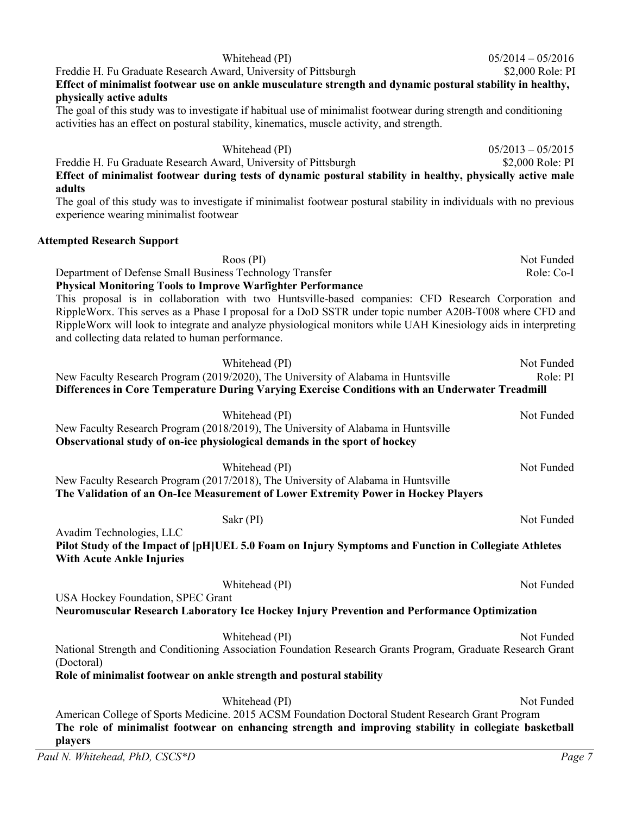#### Freddie H. Fu Graduate Research Award, University of Pittsburgh  $$2,000$  Role: PI **Effect of minimalist footwear use on ankle musculature strength and dynamic postural stability in healthy, physically active adults**

The goal of this study was to investigate if habitual use of minimalist footwear during strength and conditioning activities has an effect on postural stability, kinematics, muscle activity, and strength.

Whitehead (PI) 05/2013 – 05/2015 Freddie H. Fu Graduate Research Award, University of Pittsburgh  $$2,000$  Role: PI **Effect of minimalist footwear during tests of dynamic postural stability in healthy, physically active male adults** 

The goal of this study was to investigate if minimalist footwear postural stability in individuals with no previous experience wearing minimalist footwear

#### **Attempted Research Support**

| $R$ oos (PI)                                                       | Not Funded |
|--------------------------------------------------------------------|------------|
| Department of Defense Small Business Technology Transfer           | Role: Co-I |
| <b>Physical Monitoring Tools to Improve Warfighter Performance</b> |            |
|                                                                    |            |

This proposal is in collaboration with two Huntsville-based companies: CFD Research Corporation and RippleWorx. This serves as a Phase I proposal for a DoD SSTR under topic number A20B-T008 where CFD and RippleWorx will look to integrate and analyze physiological monitors while UAH Kinesiology aids in interpreting and collecting data related to human performance.

| Whitehead (PI)                                                                                                                                                                       | Not Funded |
|--------------------------------------------------------------------------------------------------------------------------------------------------------------------------------------|------------|
| New Faculty Research Program (2019/2020), The University of Alabama in Huntsville<br>Differences in Core Temperature During Varying Exercise Conditions with an Underwater Treadmill | Role: PI   |
|                                                                                                                                                                                      |            |
| Whitehead (PI)                                                                                                                                                                       | Not Funded |
| New Faculty Research Program (2018/2019), The University of Alabama in Huntsville                                                                                                    |            |
| Observational study of on-ice physiological demands in the sport of hockey                                                                                                           |            |
| Whitehead (PI)                                                                                                                                                                       | Not Funded |
| New Faculty Research Program (2017/2018), The University of Alabama in Huntsville                                                                                                    |            |
| The Validation of an On-Ice Measurement of Lower Extremity Power in Hockey Players                                                                                                   |            |
|                                                                                                                                                                                      |            |
| Sakr (PI)<br>Avadim Technologies, LLC                                                                                                                                                | Not Funded |
| Pilot Study of the Impact of [pH]UEL 5.0 Foam on Injury Symptoms and Function in Collegiate Athletes                                                                                 |            |
| <b>With Acute Ankle Injuries</b>                                                                                                                                                     |            |
|                                                                                                                                                                                      |            |
| Whitehead (PI)                                                                                                                                                                       | Not Funded |
| USA Hockey Foundation, SPEC Grant                                                                                                                                                    |            |
| Neuromuscular Research Laboratory Ice Hockey Injury Prevention and Performance Optimization                                                                                          |            |
| Whitehead (PI)                                                                                                                                                                       | Not Funded |
| National Strength and Conditioning Association Foundation Research Grants Program, Graduate Research Grant                                                                           |            |
| (Doctoral)                                                                                                                                                                           |            |
| Role of minimalist footwear on ankle strength and postural stability                                                                                                                 |            |
| Whitehead (PI)                                                                                                                                                                       | Not Funded |
| American College of Sports Medicine. 2015 ACSM Foundation Doctoral Student Research Grant Program                                                                                    |            |
| The role of minimalist footwear on enhancing strength and improving stability in collegiate basketball                                                                               |            |
| players                                                                                                                                                                              |            |

Whitehead (PI) 05/2014 – 05/2016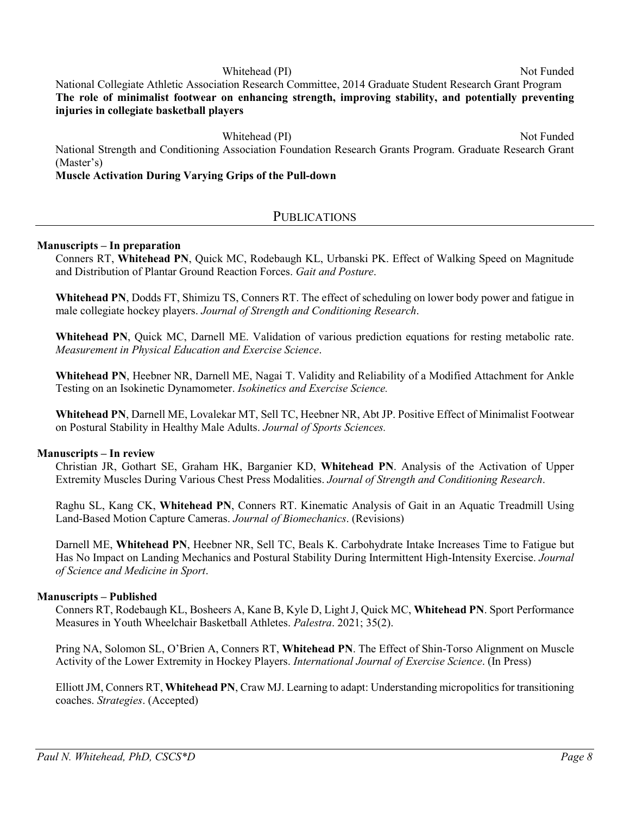Whitehead (PI) Not Funded National Collegiate Athletic Association Research Committee, 2014 Graduate Student Research Grant Program **The role of minimalist footwear on enhancing strength, improving stability, and potentially preventing injuries in collegiate basketball players**

Whitehead (PI) Not Funded National Strength and Conditioning Association Foundation Research Grants Program. Graduate Research Grant (Master's)

## **Muscle Activation During Varying Grips of the Pull-down**

# **PUBLICATIONS**

#### **Manuscripts – In preparation**

Conners RT, **Whitehead PN**, Quick MC, Rodebaugh KL, Urbanski PK. Effect of Walking Speed on Magnitude and Distribution of Plantar Ground Reaction Forces. *Gait and Posture*.

**Whitehead PN**, Dodds FT, Shimizu TS, Conners RT. The effect of scheduling on lower body power and fatigue in male collegiate hockey players. *Journal of Strength and Conditioning Research*.

**Whitehead PN**, Quick MC, Darnell ME. Validation of various prediction equations for resting metabolic rate. *Measurement in Physical Education and Exercise Science*.

**Whitehead PN**, Heebner NR, Darnell ME, Nagai T. Validity and Reliability of a Modified Attachment for Ankle Testing on an Isokinetic Dynamometer. *Isokinetics and Exercise Science.*

**Whitehead PN**, Darnell ME, Lovalekar MT, Sell TC, Heebner NR, Abt JP. Positive Effect of Minimalist Footwear on Postural Stability in Healthy Male Adults. *Journal of Sports Sciences.*

#### **Manuscripts – In review**

Christian JR, Gothart SE, Graham HK, Barganier KD, **Whitehead PN**. Analysis of the Activation of Upper Extremity Muscles During Various Chest Press Modalities. *Journal of Strength and Conditioning Research*.

Raghu SL, Kang CK, **Whitehead PN**, Conners RT. Kinematic Analysis of Gait in an Aquatic Treadmill Using Land-Based Motion Capture Cameras. *Journal of Biomechanics*. (Revisions)

Darnell ME, **Whitehead PN**, Heebner NR, Sell TC, Beals K. Carbohydrate Intake Increases Time to Fatigue but Has No Impact on Landing Mechanics and Postural Stability During Intermittent High-Intensity Exercise. *Journal of Science and Medicine in Sport*.

#### **Manuscripts – Published**

Conners RT, Rodebaugh KL, Bosheers A, Kane B, Kyle D, Light J, Quick MC, **Whitehead PN**. Sport Performance Measures in Youth Wheelchair Basketball Athletes. *Palestra*. 2021; 35(2).

Pring NA, Solomon SL, O'Brien A, Conners RT, **Whitehead PN**. The Effect of Shin-Torso Alignment on Muscle Activity of the Lower Extremity in Hockey Players. *International Journal of Exercise Science*. (In Press)

Elliott JM, Conners RT, **Whitehead PN**, Craw MJ. Learning to adapt: Understanding micropolitics for transitioning coaches. *Strategies*. (Accepted)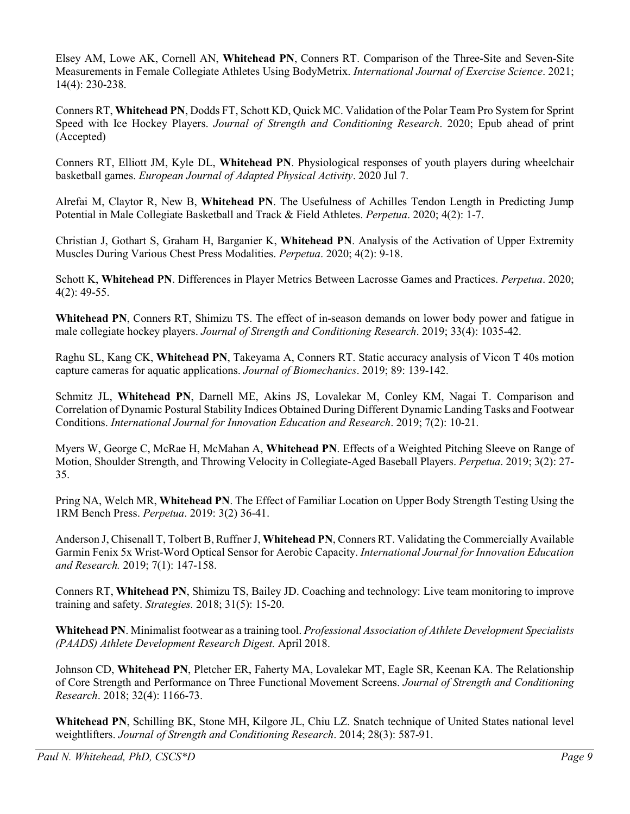Elsey AM, Lowe AK, Cornell AN, **Whitehead PN**, Conners RT. Comparison of the Three-Site and Seven-Site Measurements in Female Collegiate Athletes Using BodyMetrix. *International Journal of Exercise Science*. 2021; 14(4): 230-238.

Conners RT, **Whitehead PN**, Dodds FT, Schott KD, Quick MC. Validation of the Polar Team Pro System for Sprint Speed with Ice Hockey Players. *Journal of Strength and Conditioning Research*. 2020; Epub ahead of print (Accepted)

Conners RT, Elliott JM, Kyle DL, **Whitehead PN**. Physiological responses of youth players during wheelchair basketball games. *European Journal of Adapted Physical Activity*. 2020 Jul 7.

Alrefai M, Claytor R, New B, **Whitehead PN**. The Usefulness of Achilles Tendon Length in Predicting Jump Potential in Male Collegiate Basketball and Track & Field Athletes. *Perpetua*. 2020; 4(2): 1-7.

Christian J, Gothart S, Graham H, Barganier K, **Whitehead PN**. Analysis of the Activation of Upper Extremity Muscles During Various Chest Press Modalities. *Perpetua*. 2020; 4(2): 9-18.

Schott K, **Whitehead PN**. Differences in Player Metrics Between Lacrosse Games and Practices. *Perpetua*. 2020; 4(2): 49-55.

**Whitehead PN**, Conners RT, Shimizu TS. The effect of in-season demands on lower body power and fatigue in male collegiate hockey players. *Journal of Strength and Conditioning Research*. 2019; 33(4): 1035-42.

Raghu SL, Kang CK, **Whitehead PN**, Takeyama A, Conners RT. Static accuracy analysis of Vicon T 40s motion capture cameras for aquatic applications. *Journal of Biomechanics*. 2019; 89: 139-142.

Schmitz JL, **Whitehead PN**, Darnell ME, Akins JS, Lovalekar M, Conley KM, Nagai T. Comparison and Correlation of Dynamic Postural Stability Indices Obtained During Different Dynamic Landing Tasks and Footwear Conditions. *International Journal for Innovation Education and Research*. 2019; 7(2): 10-21.

Myers W, George C, McRae H, McMahan A, **Whitehead PN**. Effects of a Weighted Pitching Sleeve on Range of Motion, Shoulder Strength, and Throwing Velocity in Collegiate-Aged Baseball Players. *Perpetua*. 2019; 3(2): 27- 35.

Pring NA, Welch MR, **Whitehead PN**. The Effect of Familiar Location on Upper Body Strength Testing Using the 1RM Bench Press. *Perpetua*. 2019: 3(2) 36-41.

Anderson J, Chisenall T, Tolbert B, Ruffner J, **Whitehead PN**, Conners RT. Validating the Commercially Available Garmin Fenix 5x Wrist-Word Optical Sensor for Aerobic Capacity. *International Journal for Innovation Education and Research.* 2019; 7(1): 147-158.

Conners RT, **Whitehead PN**, Shimizu TS, Bailey JD. Coaching and technology: Live team monitoring to improve training and safety. *Strategies.* 2018; 31(5): 15-20.

**Whitehead PN**. Minimalist footwear as a training tool. *Professional Association of Athlete Development Specialists (PAADS) Athlete Development Research Digest.* April 2018.

Johnson CD, **Whitehead PN**, Pletcher ER, Faherty MA, Lovalekar MT, Eagle SR, Keenan KA. The Relationship of Core Strength and Performance on Three Functional Movement Screens. *Journal of Strength and Conditioning Research*. 2018; 32(4): 1166-73.

**Whitehead PN**, Schilling BK, Stone MH, Kilgore JL, Chiu LZ. Snatch technique of United States national level weightlifters. *Journal of Strength and Conditioning Research*. 2014; 28(3): 587-91.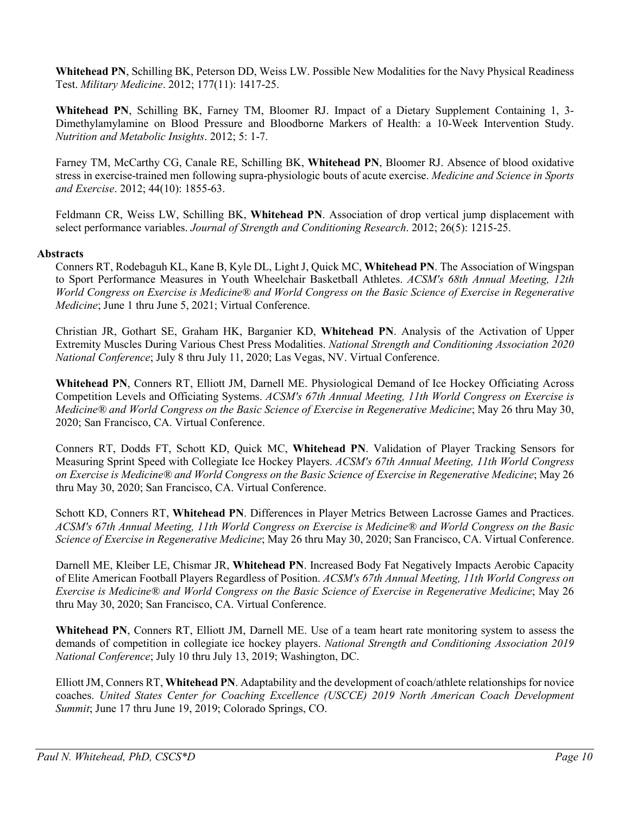**Whitehead PN**, Schilling BK, Peterson DD, Weiss LW. Possible New Modalities for the Navy Physical Readiness Test. *Military Medicine*. 2012; 177(11): 1417-25.

**Whitehead PN**, Schilling BK, Farney TM, Bloomer RJ. Impact of a Dietary Supplement Containing 1, 3- Dimethylamylamine on Blood Pressure and Bloodborne Markers of Health: a 10-Week Intervention Study. *Nutrition and Metabolic Insights*. 2012; 5: 1-7.

Farney TM, McCarthy CG, Canale RE, Schilling BK, **Whitehead PN**, Bloomer RJ. Absence of blood oxidative stress in exercise-trained men following supra-physiologic bouts of acute exercise. *Medicine and Science in Sports and Exercise*. 2012; 44(10): 1855-63.

Feldmann CR, Weiss LW, Schilling BK, **Whitehead PN**. Association of drop vertical jump displacement with select performance variables. *Journal of Strength and Conditioning Research*. 2012; 26(5): 1215-25.

#### **Abstracts**

Conners RT, Rodebaguh KL, Kane B, Kyle DL, Light J, Quick MC, **Whitehead PN**. The Association of Wingspan to Sport Performance Measures in Youth Wheelchair Basketball Athletes. *ACSM's 68th Annual Meeting, 12th World Congress on Exercise is Medicine® and World Congress on the Basic Science of Exercise in Regenerative Medicine*; June 1 thru June 5, 2021; Virtual Conference.

Christian JR, Gothart SE, Graham HK, Barganier KD, **Whitehead PN**. Analysis of the Activation of Upper Extremity Muscles During Various Chest Press Modalities. *National Strength and Conditioning Association 2020 National Conference*; July 8 thru July 11, 2020; Las Vegas, NV. Virtual Conference.

**Whitehead PN**, Conners RT, Elliott JM, Darnell ME. Physiological Demand of Ice Hockey Officiating Across Competition Levels and Officiating Systems. *ACSM's 67th Annual Meeting, 11th World Congress on Exercise is Medicine® and World Congress on the Basic Science of Exercise in Regenerative Medicine*; May 26 thru May 30, 2020; San Francisco, CA. Virtual Conference.

Conners RT, Dodds FT, Schott KD, Quick MC, **Whitehead PN**. Validation of Player Tracking Sensors for Measuring Sprint Speed with Collegiate Ice Hockey Players. *ACSM's 67th Annual Meeting, 11th World Congress on Exercise is Medicine® and World Congress on the Basic Science of Exercise in Regenerative Medicine*; May 26 thru May 30, 2020; San Francisco, CA. Virtual Conference.

Schott KD, Conners RT, **Whitehead PN**. Differences in Player Metrics Between Lacrosse Games and Practices. *ACSM's 67th Annual Meeting, 11th World Congress on Exercise is Medicine® and World Congress on the Basic Science of Exercise in Regenerative Medicine*; May 26 thru May 30, 2020; San Francisco, CA. Virtual Conference.

Darnell ME, Kleiber LE, Chismar JR, **Whitehead PN**. Increased Body Fat Negatively Impacts Aerobic Capacity of Elite American Football Players Regardless of Position. *ACSM's 67th Annual Meeting, 11th World Congress on Exercise is Medicine® and World Congress on the Basic Science of Exercise in Regenerative Medicine*; May 26 thru May 30, 2020; San Francisco, CA. Virtual Conference.

**Whitehead PN**, Conners RT, Elliott JM, Darnell ME. Use of a team heart rate monitoring system to assess the demands of competition in collegiate ice hockey players. *National Strength and Conditioning Association 2019 National Conference*; July 10 thru July 13, 2019; Washington, DC.

Elliott JM, Conners RT, **Whitehead PN**. Adaptability and the development of coach/athlete relationships for novice coaches. *United States Center for Coaching Excellence (USCCE) 2019 North American Coach Development Summit*; June 17 thru June 19, 2019; Colorado Springs, CO.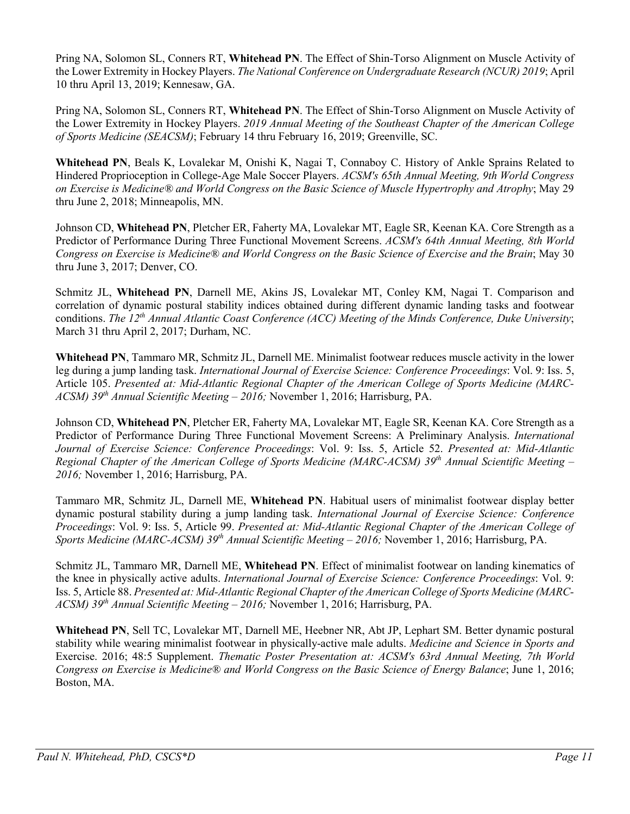Pring NA, Solomon SL, Conners RT, **Whitehead PN**. The Effect of Shin-Torso Alignment on Muscle Activity of the Lower Extremity in Hockey Players. *The National Conference on Undergraduate Research (NCUR) 2019*; April 10 thru April 13, 2019; Kennesaw, GA.

Pring NA, Solomon SL, Conners RT, **Whitehead PN**. The Effect of Shin-Torso Alignment on Muscle Activity of the Lower Extremity in Hockey Players. *2019 Annual Meeting of the Southeast Chapter of the American College of Sports Medicine (SEACSM)*; February 14 thru February 16, 2019; Greenville, SC.

**Whitehead PN**, Beals K, Lovalekar M, Onishi K, Nagai T, Connaboy C. History of Ankle Sprains Related to Hindered Proprioception in College-Age Male Soccer Players. *ACSM's 65th Annual Meeting, 9th World Congress on Exercise is Medicine® and World Congress on the Basic Science of Muscle Hypertrophy and Atrophy*; May 29 thru June 2, 2018; Minneapolis, MN.

Johnson CD, **Whitehead PN**, Pletcher ER, Faherty MA, Lovalekar MT, Eagle SR, Keenan KA. Core Strength as a Predictor of Performance During Three Functional Movement Screens. *ACSM's 64th Annual Meeting, 8th World Congress on Exercise is Medicine® and World Congress on the Basic Science of Exercise and the Brain*; May 30 thru June 3, 2017; Denver, CO.

Schmitz JL, **Whitehead PN**, Darnell ME, Akins JS, Lovalekar MT, Conley KM, Nagai T. Comparison and correlation of dynamic postural stability indices obtained during different dynamic landing tasks and footwear conditions. *The 12th Annual Atlantic Coast Conference (ACC) Meeting of the Minds Conference, Duke University*; March 31 thru April 2, 2017; Durham, NC.

**Whitehead PN**, Tammaro MR, Schmitz JL, Darnell ME. Minimalist footwear reduces muscle activity in the lower leg during a jump landing task. *International Journal of Exercise Science: Conference Proceedings*: Vol. 9: Iss. 5, Article 105. *Presented at: Mid-Atlantic Regional Chapter of the American College of Sports Medicine (MARC-ACSM) 39th Annual Scientific Meeting – 2016;* November 1, 2016; Harrisburg, PA.

Johnson CD, **Whitehead PN**, Pletcher ER, Faherty MA, Lovalekar MT, Eagle SR, Keenan KA. Core Strength as a Predictor of Performance During Three Functional Movement Screens: A Preliminary Analysis. *International Journal of Exercise Science: Conference Proceedings*: Vol. 9: Iss. 5, Article 52. *Presented at: Mid-Atlantic Regional Chapter of the American College of Sports Medicine (MARC-ACSM) 39th Annual Scientific Meeting – 2016;* November 1, 2016; Harrisburg, PA.

Tammaro MR, Schmitz JL, Darnell ME, **Whitehead PN**. Habitual users of minimalist footwear display better dynamic postural stability during a jump landing task. *International Journal of Exercise Science: Conference Proceedings*: Vol. 9: Iss. 5, Article 99. *Presented at: Mid-Atlantic Regional Chapter of the American College of Sports Medicine (MARC-ACSM) 39th Annual Scientific Meeting – 2016;* November 1, 2016; Harrisburg, PA.

Schmitz JL, Tammaro MR, Darnell ME, **Whitehead PN**. Effect of minimalist footwear on landing kinematics of the knee in physically active adults. *International Journal of Exercise Science: Conference Proceedings*: Vol. 9: Iss. 5, Article 88. *Presented at: Mid-Atlantic Regional Chapter of the American College of Sports Medicine (MARC-ACSM) 39th Annual Scientific Meeting – 2016;* November 1, 2016; Harrisburg, PA.

**Whitehead PN**, Sell TC, Lovalekar MT, Darnell ME, Heebner NR, Abt JP, Lephart SM. Better dynamic postural stability while wearing minimalist footwear in physically-active male adults. *Medicine and Science in Sports and*  Exercise. 2016; 48:5 Supplement. *Thematic Poster Presentation at: ACSM's 63rd Annual Meeting, 7th World Congress on Exercise is Medicine® and World Congress on the Basic Science of Energy Balance*; June 1, 2016; Boston, MA.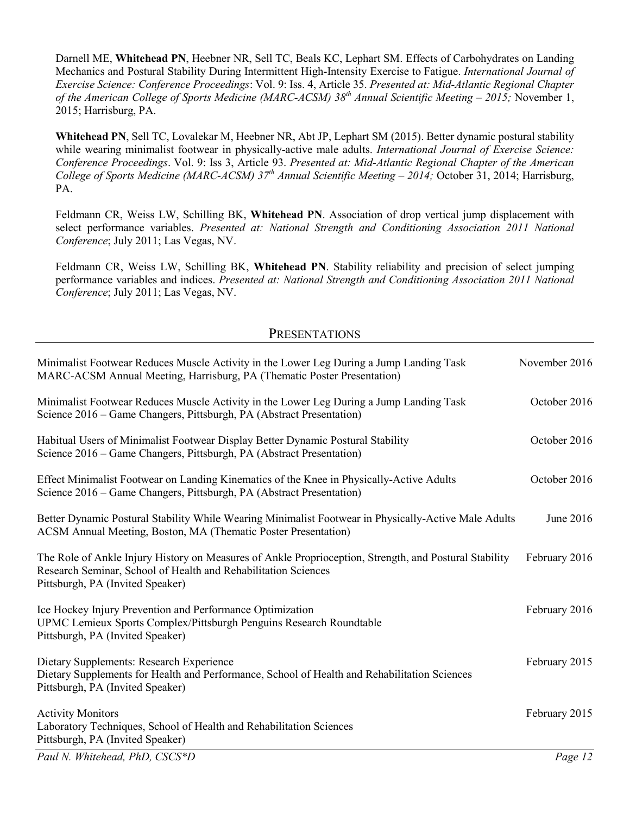Darnell ME, **Whitehead PN**, Heebner NR, Sell TC, Beals KC, Lephart SM. Effects of Carbohydrates on Landing Mechanics and Postural Stability During Intermittent High-Intensity Exercise to Fatigue. *International Journal of Exercise Science: Conference Proceedings*: Vol. 9: Iss. 4, Article 35. *Presented at: Mid-Atlantic Regional Chapter of the American College of Sports Medicine (MARC-ACSM) 38th Annual Scientific Meeting – 2015;* November 1, 2015; Harrisburg, PA.

**Whitehead PN**, Sell TC, Lovalekar M, Heebner NR, Abt JP, Lephart SM (2015). Better dynamic postural stability while wearing minimalist footwear in physically-active male adults. *International Journal of Exercise Science: Conference Proceedings*. Vol. 9: Iss 3, Article 93. *Presented at: Mid-Atlantic Regional Chapter of the American College of Sports Medicine (MARC-ACSM) 37th Annual Scientific Meeting – 2014;* October 31, 2014; Harrisburg, PA.

Feldmann CR, Weiss LW, Schilling BK, **Whitehead PN**. Association of drop vertical jump displacement with select performance variables. *Presented at: National Strength and Conditioning Association 2011 National Conference*; July 2011; Las Vegas, NV.

Feldmann CR, Weiss LW, Schilling BK, **Whitehead PN**. Stability reliability and precision of select jumping performance variables and indices. *Presented at: National Strength and Conditioning Association 2011 National Conference*; July 2011; Las Vegas, NV.

#### PRESENTATIONS

| Minimalist Footwear Reduces Muscle Activity in the Lower Leg During a Jump Landing Task<br>MARC-ACSM Annual Meeting, Harrisburg, PA (Thematic Poster Presentation)                                           | November 2016 |
|--------------------------------------------------------------------------------------------------------------------------------------------------------------------------------------------------------------|---------------|
| Minimalist Footwear Reduces Muscle Activity in the Lower Leg During a Jump Landing Task<br>Science 2016 – Game Changers, Pittsburgh, PA (Abstract Presentation)                                              | October 2016  |
| Habitual Users of Minimalist Footwear Display Better Dynamic Postural Stability<br>Science 2016 – Game Changers, Pittsburgh, PA (Abstract Presentation)                                                      | October 2016  |
| Effect Minimalist Footwear on Landing Kinematics of the Knee in Physically-Active Adults<br>Science 2016 – Game Changers, Pittsburgh, PA (Abstract Presentation)                                             | October 2016  |
| Better Dynamic Postural Stability While Wearing Minimalist Footwear in Physically-Active Male Adults<br>ACSM Annual Meeting, Boston, MA (Thematic Poster Presentation)                                       | June 2016     |
| The Role of Ankle Injury History on Measures of Ankle Proprioception, Strength, and Postural Stability<br>Research Seminar, School of Health and Rehabilitation Sciences<br>Pittsburgh, PA (Invited Speaker) | February 2016 |
| Ice Hockey Injury Prevention and Performance Optimization<br>UPMC Lemieux Sports Complex/Pittsburgh Penguins Research Roundtable<br>Pittsburgh, PA (Invited Speaker)                                         | February 2016 |
| Dietary Supplements: Research Experience<br>Dietary Supplements for Health and Performance, School of Health and Rehabilitation Sciences<br>Pittsburgh, PA (Invited Speaker)                                 | February 2015 |
| <b>Activity Monitors</b><br>Laboratory Techniques, School of Health and Rehabilitation Sciences<br>Pittsburgh, PA (Invited Speaker)                                                                          | February 2015 |